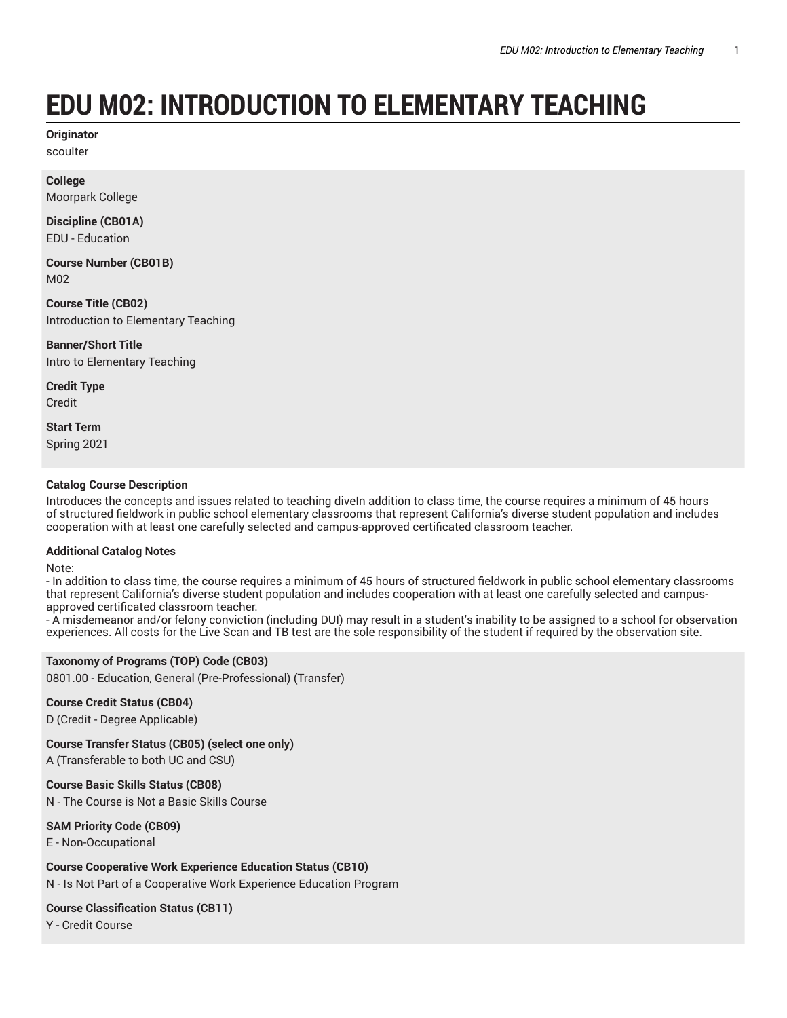# **EDU M02: INTRODUCTION TO ELEMENTARY TEACHING**

**Originator** scoulter

**College** Moorpark College

**Discipline (CB01A)** EDU - Education

**Course Number (CB01B)** M02

**Course Title (CB02)** Introduction to Elementary Teaching

**Banner/Short Title** Intro to Elementary Teaching

**Credit Type** Credit

**Start Term** Spring 2021

## **Catalog Course Description**

Introduces the concepts and issues related to teaching diveIn addition to class time, the course requires a minimum of 45 hours of structured fieldwork in public school elementary classrooms that represent California's diverse student population and includes cooperation with at least one carefully selected and campus-approved certificated classroom teacher.

#### **Additional Catalog Notes**

Note:

- In addition to class time, the course requires a minimum of 45 hours of structured fieldwork in public school elementary classrooms that represent California's diverse student population and includes cooperation with at least one carefully selected and campusapproved certificated classroom teacher.

- A misdemeanor and/or felony conviction (including DUI) may result in a student's inability to be assigned to a school for observation experiences. All costs for the Live Scan and TB test are the sole responsibility of the student if required by the observation site.

## **Taxonomy of Programs (TOP) Code (CB03)**

0801.00 - Education, General (Pre-Professional) (Transfer)

## **Course Credit Status (CB04)**

D (Credit - Degree Applicable)

**Course Transfer Status (CB05) (select one only)** A (Transferable to both UC and CSU)

**Course Basic Skills Status (CB08)**

N - The Course is Not a Basic Skills Course

**SAM Priority Code (CB09)**

E - Non-Occupational

**Course Cooperative Work Experience Education Status (CB10)**

N - Is Not Part of a Cooperative Work Experience Education Program

# **Course Classification Status (CB11)**

Y - Credit Course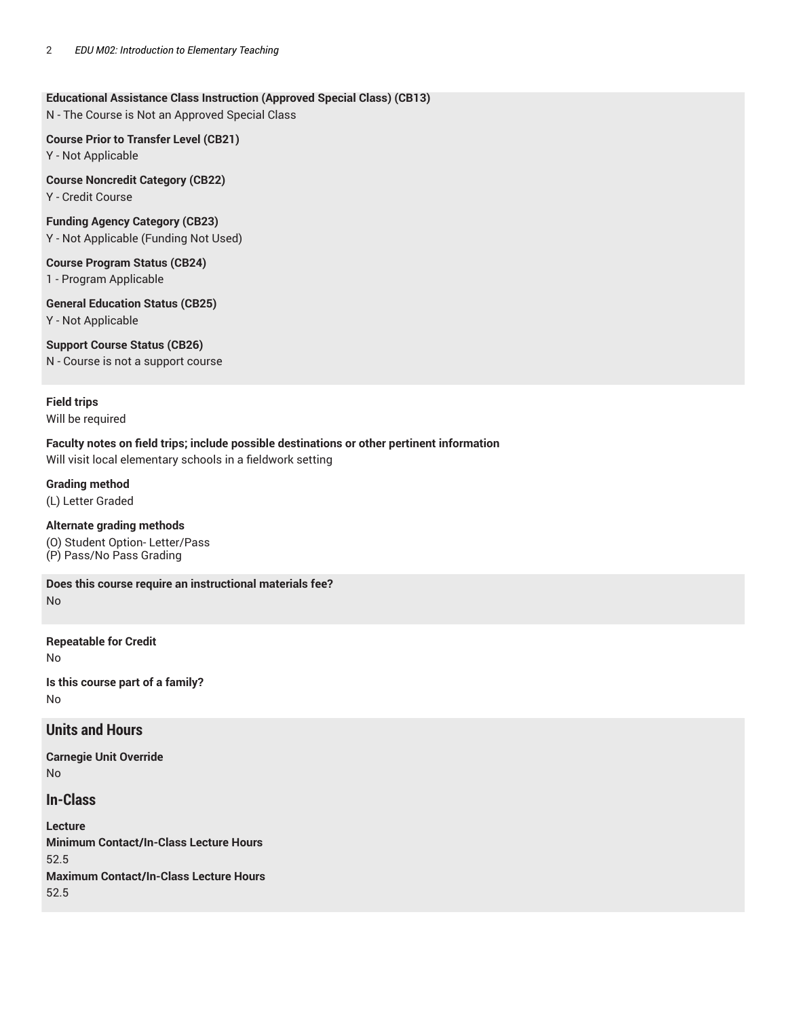## **Educational Assistance Class Instruction (Approved Special Class) (CB13)**

N - The Course is Not an Approved Special Class

**Course Prior to Transfer Level (CB21)** Y - Not Applicable

**Course Noncredit Category (CB22)** Y - Credit Course

**Funding Agency Category (CB23)** Y - Not Applicable (Funding Not Used)

**Course Program Status (CB24)** 1 - Program Applicable

**General Education Status (CB25)** Y - Not Applicable

**Support Course Status (CB26)** N - Course is not a support course

## **Field trips**

Will be required

## **Faculty notes on field trips; include possible destinations or other pertinent information**

Will visit local elementary schools in a fieldwork setting

**Grading method**

(L) Letter Graded

**Alternate grading methods** (O) Student Option- Letter/Pass (P) Pass/No Pass Grading

**Does this course require an instructional materials fee?** No

**Repeatable for Credit**

No

**Is this course part of a family?** No

## **Units and Hours**

**Carnegie Unit Override** No

**In-Class**

**Lecture Minimum Contact/In-Class Lecture Hours** 52.5 **Maximum Contact/In-Class Lecture Hours** 52.5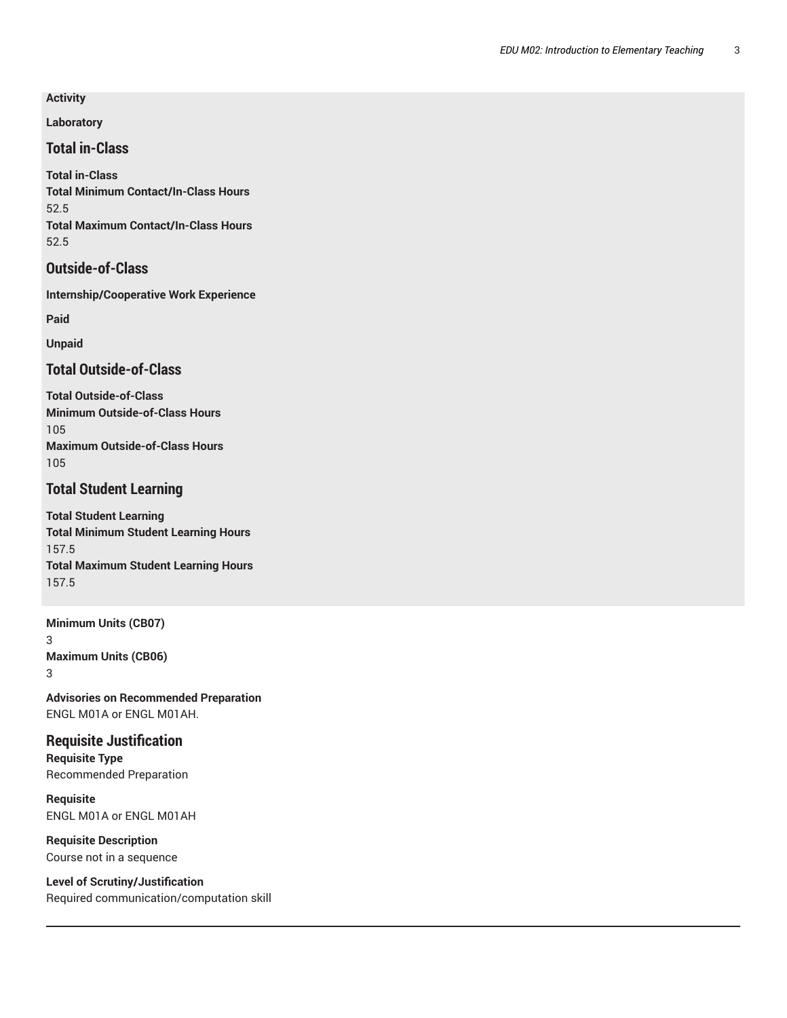**Activity**

**Laboratory**

**Total in-Class**

**Total in-Class Total Minimum Contact/In-Class Hours** 52.5 **Total Maximum Contact/In-Class Hours** 52.5

# **Outside-of-Class**

**Internship/Cooperative Work Experience**

**Paid**

**Unpaid**

# **Total Outside-of-Class**

**Total Outside-of-Class Minimum Outside-of-Class Hours** 105 **Maximum Outside-of-Class Hours** 105

# **Total Student Learning**

**Total Student Learning Total Minimum Student Learning Hours** 157.5 **Total Maximum Student Learning Hours** 157.5

**Minimum Units (CB07)** 3 **Maximum Units (CB06)** 3

**Advisories on Recommended Preparation** ENGL M01A or ENGL M01AH.

**Requisite Justification Requisite Type** Recommended Preparation

**Requisite** ENGL M01A or ENGL M01AH

**Requisite Description** Course not in a sequence

**Level of Scrutiny/Justification** Required communication/computation skill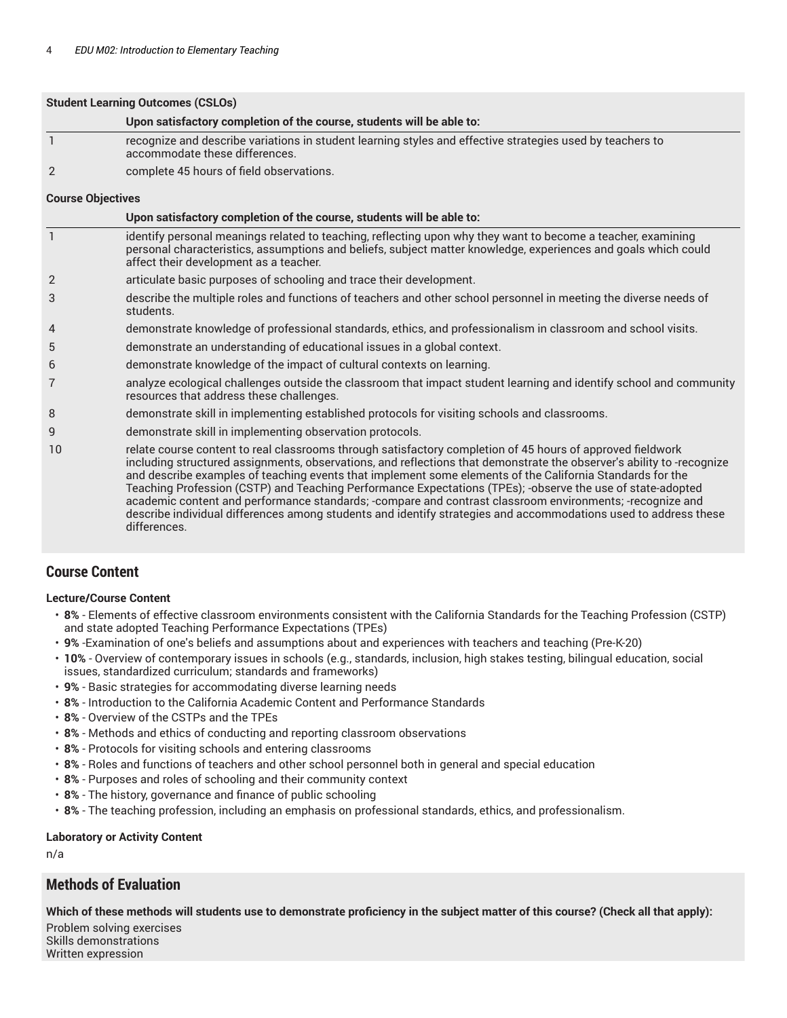|                          | <b>Student Learning Outcomes (CSLOs)</b>                                                                                                                                                                                                                                 |  |
|--------------------------|--------------------------------------------------------------------------------------------------------------------------------------------------------------------------------------------------------------------------------------------------------------------------|--|
|                          | Upon satisfactory completion of the course, students will be able to:                                                                                                                                                                                                    |  |
|                          | recognize and describe variations in student learning styles and effective strategies used by teachers to<br>accommodate these differences.                                                                                                                              |  |
| 2                        | complete 45 hours of field observations.                                                                                                                                                                                                                                 |  |
| <b>Course Objectives</b> |                                                                                                                                                                                                                                                                          |  |
|                          | Upon satisfactory completion of the course, students will be able to:                                                                                                                                                                                                    |  |
|                          | identify personal meanings related to teaching, reflecting upon why they want to become a teacher, examining<br>personal characteristics, assumptions and beliefs, subject matter knowledge, experiences and goals which could<br>affect their development as a teacher. |  |
| 2                        | articulate basic purposes of schooling and trace their development.                                                                                                                                                                                                      |  |
| 3                        | describe the multiple roles and functions of teachers and other school personnel in meeting the diverse needs of<br>students.                                                                                                                                            |  |
| 4                        | demonstrate knowledge of professional standards, ethics, and professionalism in classroom and school visits.                                                                                                                                                             |  |
| 5                        | demonstrate an understanding of educational issues in a global context.                                                                                                                                                                                                  |  |
| 6                        | demonstrate knowledge of the impact of cultural contexts on learning.                                                                                                                                                                                                    |  |
| 7                        | analyze ecological challenges outside the classroom that impact student learning and identify school and community<br>resources that address these challenges.                                                                                                           |  |
| 8                        | demonstrate skill in implementing established protocols for visiting schools and classrooms.                                                                                                                                                                             |  |
| g                        | demonstrate skill in implementing observation protocols.                                                                                                                                                                                                                 |  |

10 relate course content to real classrooms through satisfactory completion of 45 hours of approved fieldwork including structured assignments, observations, and reflections that demonstrate the observer's ability to -recognize and describe examples of teaching events that implement some elements of the California Standards for the Teaching Profession (CSTP) and Teaching Performance Expectations (TPEs); -observe the use of state-adopted academic content and performance standards; -compare and contrast classroom environments; -recognize and describe individual differences among students and identify strategies and accommodations used to address these differences.

# **Course Content**

#### **Lecture/Course Content**

- **8%**  Elements of effective classroom environments consistent with the California Standards for the Teaching Profession (CSTP) and state adopted Teaching Performance Expectations (TPEs)
- **9%** -Examination of one's beliefs and assumptions about and experiences with teachers and teaching (Pre-K-20)
- **10%** Overview of contemporary issues in schools (e.g., standards, inclusion, high stakes testing, bilingual education, social issues, standardized curriculum; standards and frameworks)
- **9%** Basic strategies for accommodating diverse learning needs
- **8%** Introduction to the California Academic Content and Performance Standards
- **8%** Overview of the CSTPs and the TPEs
- **8%** Methods and ethics of conducting and reporting classroom observations
- **8%** Protocols for visiting schools and entering classrooms
- **8%** Roles and functions of teachers and other school personnel both in general and special education
- **8%** Purposes and roles of schooling and their community context
- **8%** The history, governance and finance of public schooling
- **8%** The teaching profession, including an emphasis on professional standards, ethics, and professionalism.

#### **Laboratory or Activity Content**

n/a

## **Methods of Evaluation**

**Which of these methods will students use to demonstrate proficiency in the subject matter of this course? (Check all that apply):**

Problem solving exercises Skills demonstrations Written expression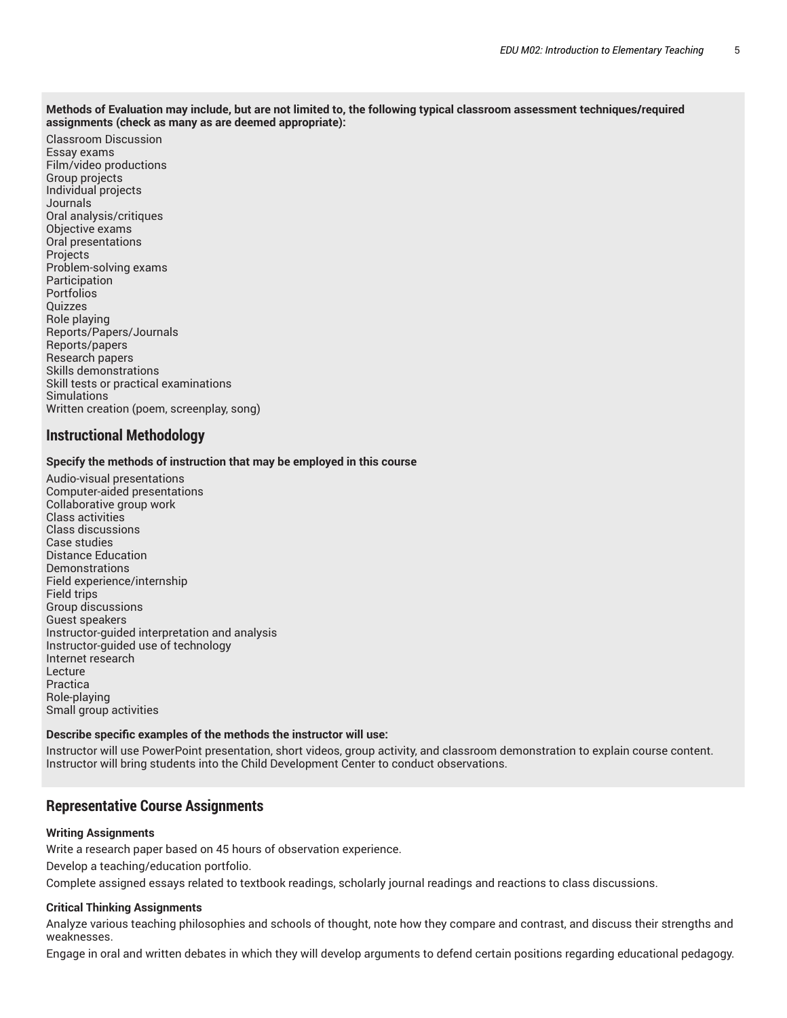#### Methods of Evaluation may include, but are not limited to, the following typical classroom assessment techniques/required **assignments (check as many as are deemed appropriate):**

Classroom Discussion Essay exams Film/video productions Group projects Individual projects Journals Oral analysis/critiques Objective exams Oral presentations Projects Problem-solving exams Participation Portfolios Quizzes Role playing Reports/Papers/Journals Reports/papers Research papers Skills demonstrations Skill tests or practical examinations **Simulations** Written creation (poem, screenplay, song)

## **Instructional Methodology**

#### **Specify the methods of instruction that may be employed in this course**

Audio-visual presentations Computer-aided presentations Collaborative group work Class activities Class discussions Case studies Distance Education **Demonstrations** Field experience/internship Field trips Group discussions Guest speakers Instructor-guided interpretation and analysis Instructor-guided use of technology Internet research Lecture Practica Role-playing Small group activities

#### **Describe specific examples of the methods the instructor will use:**

Instructor will use PowerPoint presentation, short videos, group activity, and classroom demonstration to explain course content. Instructor will bring students into the Child Development Center to conduct observations.

## **Representative Course Assignments**

#### **Writing Assignments**

Write a research paper based on 45 hours of observation experience.

Develop a teaching/education portfolio.

Complete assigned essays related to textbook readings, scholarly journal readings and reactions to class discussions.

#### **Critical Thinking Assignments**

Analyze various teaching philosophies and schools of thought, note how they compare and contrast, and discuss their strengths and weaknesses.

Engage in oral and written debates in which they will develop arguments to defend certain positions regarding educational pedagogy.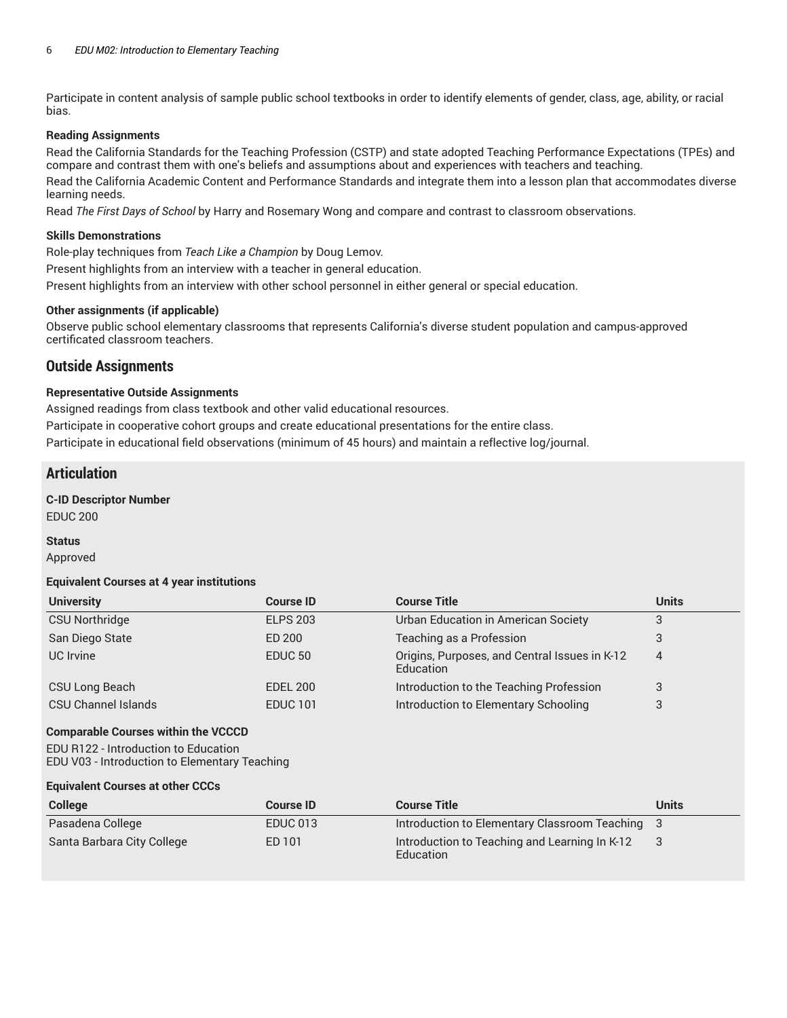Participate in content analysis of sample public school textbooks in order to identify elements of gender, class, age, ability, or racial bias.

## **Reading Assignments**

Read the California Standards for the Teaching Profession (CSTP) and state adopted Teaching Performance Expectations (TPEs) and compare and contrast them with one's beliefs and assumptions about and experiences with teachers and teaching.

Read the California Academic Content and Performance Standards and integrate them into a lesson plan that accommodates diverse learning needs.

Read *The First Days of School* by Harry and Rosemary Wong and compare and contrast to classroom observations.

## **Skills Demonstrations**

Role-play techniques from *Teach Like a Champion* by Doug Lemov.

Present highlights from an interview with a teacher in general education.

Present highlights from an interview with other school personnel in either general or special education.

## **Other assignments (if applicable)**

Observe public school elementary classrooms that represents California's diverse student population and campus-approved certificated classroom teachers.

## **Outside Assignments**

## **Representative Outside Assignments**

Assigned readings from class textbook and other valid educational resources.

Participate in cooperative cohort groups and create educational presentations for the entire class.

Participate in educational field observations (minimum of 45 hours) and maintain a reflective log/journal.

## **Articulation**

## **C-ID Descriptor Number**

EDUC 200

#### **Status**

Approved

#### **Equivalent Courses at 4 year institutions**

| <b>University</b>     | <b>Course ID</b>   | <b>Course Title</b>                                        | <b>Units</b>   |
|-----------------------|--------------------|------------------------------------------------------------|----------------|
| <b>CSU Northridge</b> | <b>ELPS 203</b>    | Urban Education in American Society                        | 3              |
| San Diego State       | ED 200             | Teaching as a Profession                                   | J              |
| UC Irvine             | EDUC <sub>50</sub> | Origins, Purposes, and Central Issues in K-12<br>Education | $\overline{4}$ |
| CSU Long Beach        | <b>EDEL 200</b>    | Introduction to the Teaching Profession                    | 3              |
| CSU Channel Islands   | <b>EDUC 101</b>    | Introduction to Elementary Schooling                       | 3              |

#### **Comparable Courses within the VCCCD**

EDU R122 - Introduction to Education EDU V03 - Introduction to Elementary Teaching

#### **Equivalent Courses at other CCCs**

| <b>College</b>             | <b>Course ID</b> | <b>Course Title</b>                                        | Units |
|----------------------------|------------------|------------------------------------------------------------|-------|
| Pasadena College           | <b>EDUC 013</b>  | Introduction to Elementary Classroom Teaching 3            |       |
| Santa Barbara City College | ED 101           | Introduction to Teaching and Learning In K-12<br>Education |       |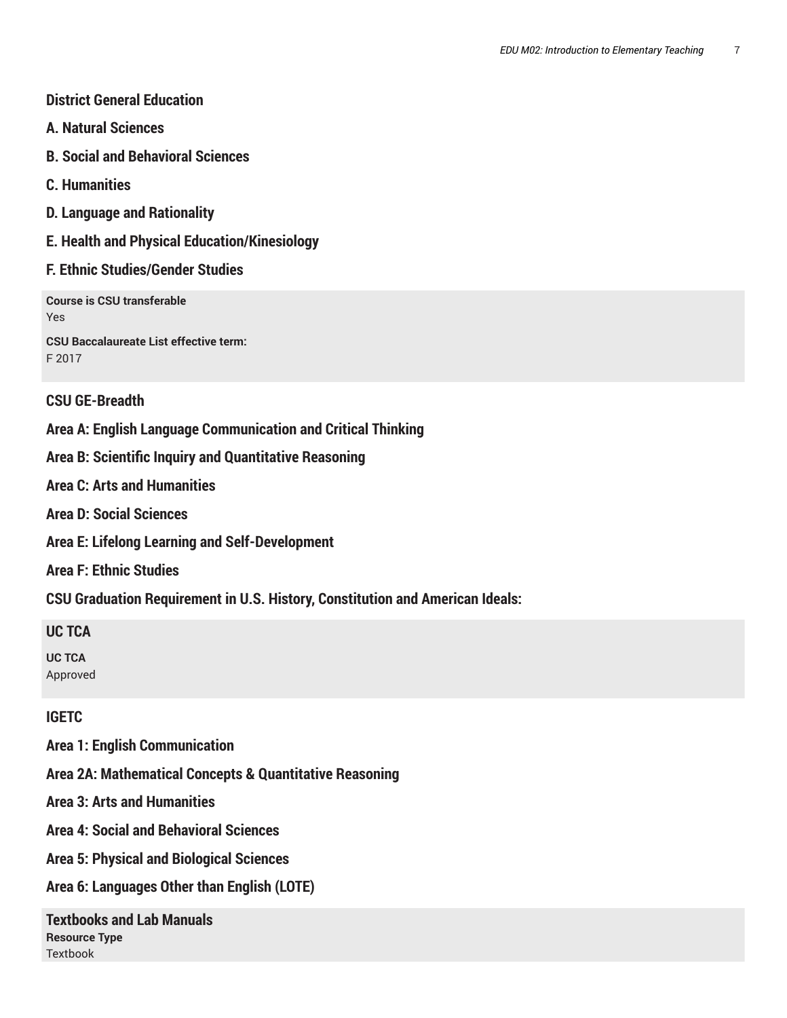# **District General Education**

- **A. Natural Sciences**
- **B. Social and Behavioral Sciences**
- **C. Humanities**
- **D. Language and Rationality**
- **E. Health and Physical Education/Kinesiology**

# **F. Ethnic Studies/Gender Studies**

**Course is CSU transferable** Yes

**CSU Baccalaureate List effective term:** F 2017

# **CSU GE-Breadth**

**Area A: English Language Communication and Critical Thinking**

**Area B: Scientific Inquiry and Quantitative Reasoning**

**Area C: Arts and Humanities**

**Area D: Social Sciences**

**Area E: Lifelong Learning and Self-Development**

**Area F: Ethnic Studies**

**CSU Graduation Requirement in U.S. History, Constitution and American Ideals:**

# **UC TCA**

**UC TCA** Approved

# **IGETC**

**Area 1: English Communication**

**Area 2A: Mathematical Concepts & Quantitative Reasoning**

**Area 3: Arts and Humanities**

**Area 4: Social and Behavioral Sciences**

**Area 5: Physical and Biological Sciences**

**Area 6: Languages Other than English (LOTE)**

**Textbooks and Lab Manuals Resource Type** Textbook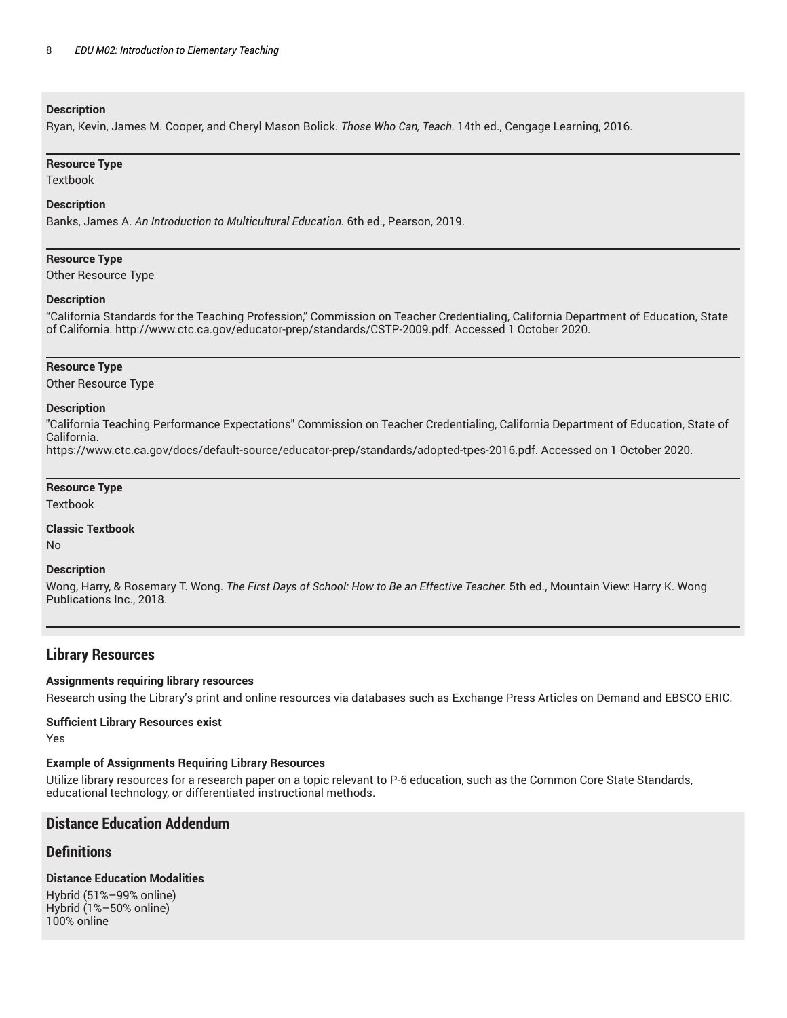#### **Description**

Ryan, Kevin, James M. Cooper, and Cheryl Mason Bolick. *Those Who Can, Teach.* 14th ed., Cengage Learning, 2016.

#### **Resource Type**

Textbook

#### **Description**

Banks, James A. *An Introduction to Multicultural Education.* 6th ed., Pearson, 2019.

#### **Resource Type**

Other Resource Type

#### **Description**

"California Standards for the Teaching Profession," Commission on Teacher Credentialing, California Department of Education, State of California. http://www.ctc.ca.gov/educator-prep/standards/CSTP-2009.pdf. Accessed 1 October 2020.

#### **Resource Type**

Other Resource Type

#### **Description**

"California Teaching Performance Expectations" Commission on Teacher Credentialing, California Department of Education, State of California. https://www.ctc.ca.gov/docs/default-source/educator-prep/standards/adopted-tpes-2016.pdf. Accessed on 1 October 2020.

## **Resource Type**

**Textbook** 

#### **Classic Textbook**

No

#### **Description**

Wong, Harry, & Rosemary T. Wong. *The First Days of School: How to Be an Effective Teacher.* 5th ed., Mountain View: Harry K. Wong Publications Inc., 2018.

## **Library Resources**

#### **Assignments requiring library resources**

Research using the Library's print and online resources via databases such as Exchange Press Articles on Demand and EBSCO ERIC.

#### **Sufficient Library Resources exist**

Yes

#### **Example of Assignments Requiring Library Resources**

Utilize library resources for a research paper on a topic relevant to P-6 education, such as the Common Core State Standards, educational technology, or differentiated instructional methods.

## **Distance Education Addendum**

## **Definitions**

## **Distance Education Modalities**

Hybrid (51%–99% online) Hybrid (1%–50% online) 100% online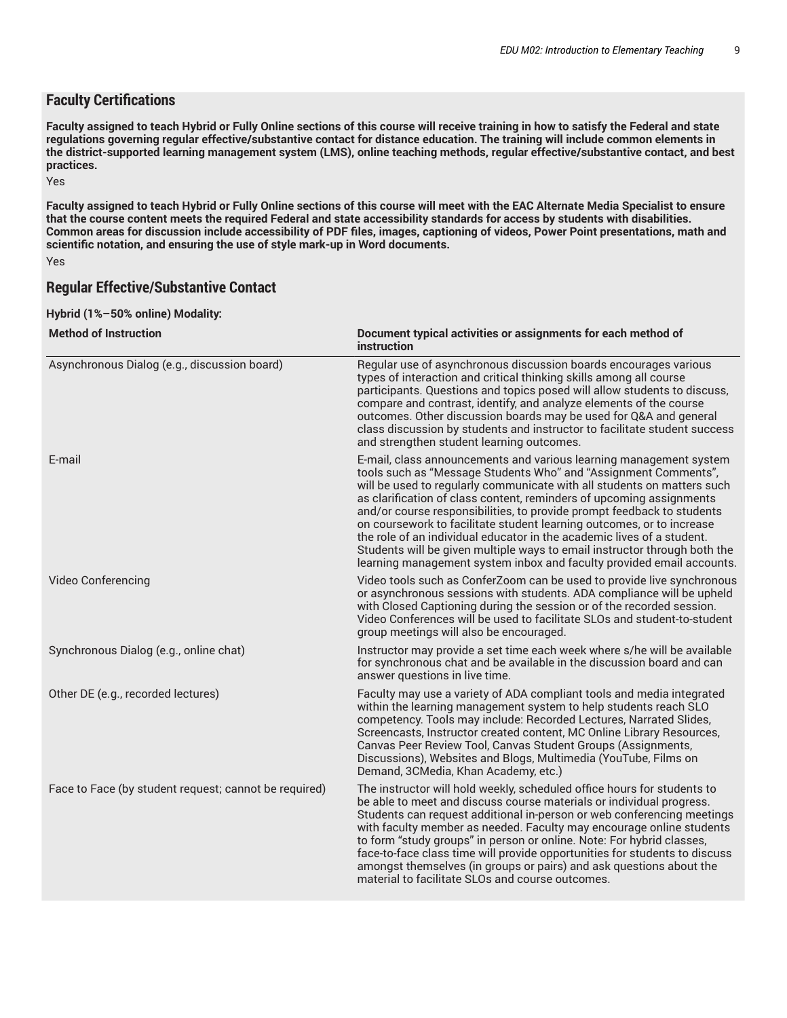## **Faculty Certifications**

Faculty assigned to teach Hybrid or Fully Online sections of this course will receive training in how to satisfy the Federal and state regulations governing regular effective/substantive contact for distance education. The training will include common elements in the district-supported learning management system (LMS), online teaching methods, regular effective/substantive contact, and best **practices.**

Yes

Faculty assigned to teach Hybrid or Fully Online sections of this course will meet with the EAC Alternate Media Specialist to ensure that the course content meets the required Federal and state accessibility standards for access by students with disabilities. Common areas for discussion include accessibility of PDF files, images, captioning of videos, Power Point presentations, math and **scientific notation, and ensuring the use of style mark-up in Word documents.**

Yes

## **Regular Effective/Substantive Contact**

#### **Hybrid (1%–50% online) Modality:**

| <b>Method of Instruction</b>                          | Document typical activities or assignments for each method of<br>instruction                                                                                                                                                                                                                                                                                                                                                                                                                                                                                                                                                                                                |  |
|-------------------------------------------------------|-----------------------------------------------------------------------------------------------------------------------------------------------------------------------------------------------------------------------------------------------------------------------------------------------------------------------------------------------------------------------------------------------------------------------------------------------------------------------------------------------------------------------------------------------------------------------------------------------------------------------------------------------------------------------------|--|
| Asynchronous Dialog (e.g., discussion board)          | Regular use of asynchronous discussion boards encourages various<br>types of interaction and critical thinking skills among all course<br>participants. Questions and topics posed will allow students to discuss,<br>compare and contrast, identify, and analyze elements of the course<br>outcomes. Other discussion boards may be used for Q&A and general<br>class discussion by students and instructor to facilitate student success<br>and strengthen student learning outcomes.                                                                                                                                                                                     |  |
| E-mail                                                | E-mail, class announcements and various learning management system<br>tools such as "Message Students Who" and "Assignment Comments",<br>will be used to regularly communicate with all students on matters such<br>as clarification of class content, reminders of upcoming assignments<br>and/or course responsibilities, to provide prompt feedback to students<br>on coursework to facilitate student learning outcomes, or to increase<br>the role of an individual educator in the academic lives of a student.<br>Students will be given multiple ways to email instructor through both the<br>learning management system inbox and faculty provided email accounts. |  |
| Video Conferencing                                    | Video tools such as ConferZoom can be used to provide live synchronous<br>or asynchronous sessions with students. ADA compliance will be upheld<br>with Closed Captioning during the session or of the recorded session.<br>Video Conferences will be used to facilitate SLOs and student-to-student<br>group meetings will also be encouraged.                                                                                                                                                                                                                                                                                                                             |  |
| Synchronous Dialog (e.g., online chat)                | Instructor may provide a set time each week where s/he will be available<br>for synchronous chat and be available in the discussion board and can<br>answer questions in live time.                                                                                                                                                                                                                                                                                                                                                                                                                                                                                         |  |
| Other DE (e.g., recorded lectures)                    | Faculty may use a variety of ADA compliant tools and media integrated<br>within the learning management system to help students reach SLO<br>competency. Tools may include: Recorded Lectures, Narrated Slides,<br>Screencasts, Instructor created content, MC Online Library Resources,<br>Canvas Peer Review Tool, Canvas Student Groups (Assignments,<br>Discussions), Websites and Blogs, Multimedia (YouTube, Films on<br>Demand, 3CMedia, Khan Academy, etc.)                                                                                                                                                                                                         |  |
| Face to Face (by student request; cannot be required) | The instructor will hold weekly, scheduled office hours for students to<br>be able to meet and discuss course materials or individual progress.<br>Students can request additional in-person or web conferencing meetings<br>with faculty member as needed. Faculty may encourage online students<br>to form "study groups" in person or online. Note: For hybrid classes,<br>face-to-face class time will provide opportunities for students to discuss<br>amongst themselves (in groups or pairs) and ask questions about the<br>material to facilitate SLOs and course outcomes.                                                                                         |  |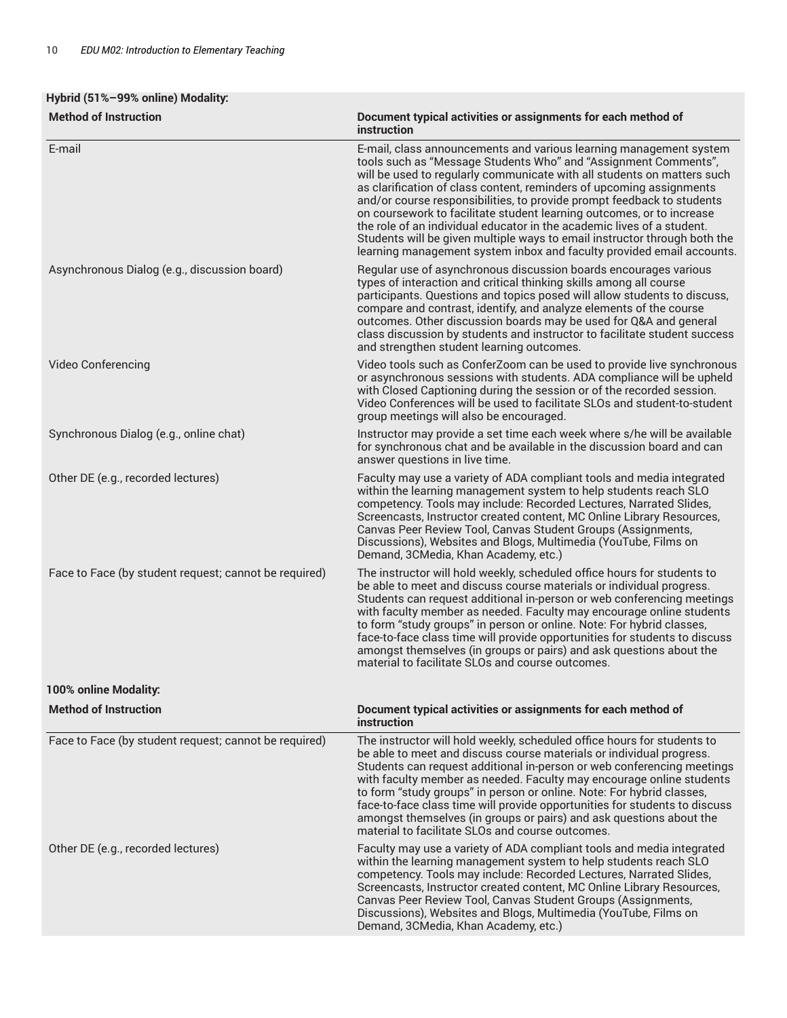# **Hybrid (51%–99% online) Modality:**

| E-mail<br>E-mail, class announcements and various learning management system<br>tools such as "Message Students Who" and "Assignment Comments",<br>will be used to regularly communicate with all students on matters such<br>as clarification of class content, reminders of upcoming assignments<br>and/or course responsibilities, to provide prompt feedback to students<br>on coursework to facilitate student learning outcomes, or to increase<br>the role of an individual educator in the academic lives of a student.<br>Students will be given multiple ways to email instructor through both the<br>learning management system inbox and faculty provided email accounts.<br>Asynchronous Dialog (e.g., discussion board)<br>Regular use of asynchronous discussion boards encourages various<br>types of interaction and critical thinking skills among all course<br>participants. Questions and topics posed will allow students to discuss,<br>compare and contrast, identify, and analyze elements of the course<br>outcomes. Other discussion boards may be used for Q&A and general<br>class discussion by students and instructor to facilitate student success<br>and strengthen student learning outcomes.<br>Video Conferencing<br>Video tools such as ConferZoom can be used to provide live synchronous<br>or asynchronous sessions with students. ADA compliance will be upheld<br>with Closed Captioning during the session or of the recorded session.<br>Video Conferences will be used to facilitate SLOs and student-to-student<br>group meetings will also be encouraged.<br>Synchronous Dialog (e.g., online chat)<br>Instructor may provide a set time each week where s/he will be available<br>for synchronous chat and be available in the discussion board and can<br>answer questions in live time.<br>Other DE (e.g., recorded lectures)<br>Faculty may use a variety of ADA compliant tools and media integrated<br>within the learning management system to help students reach SLO<br>competency. Tools may include: Recorded Lectures, Narrated Slides,<br>Screencasts, Instructor created content, MC Online Library Resources,<br>Canvas Peer Review Tool, Canvas Student Groups (Assignments,<br>Discussions), Websites and Blogs, Multimedia (YouTube, Films on<br>Demand, 3CMedia, Khan Academy, etc.)<br>Face to Face (by student request; cannot be required)<br>The instructor will hold weekly, scheduled office hours for students to<br>be able to meet and discuss course materials or individual progress.<br>Students can request additional in-person or web conferencing meetings<br>with faculty member as needed. Faculty may encourage online students<br>to form "study groups" in person or online. Note: For hybrid classes,<br>face-to-face class time will provide opportunities for students to discuss<br>amongst themselves (in groups or pairs) and ask questions about the<br>material to facilitate SLOs and course outcomes.<br><b>Method of Instruction</b><br>Document typical activities or assignments for each method of<br>instruction<br>The instructor will hold weekly, scheduled office hours for students to<br>Face to Face (by student request; cannot be required)<br>be able to meet and discuss course materials or individual progress.<br>Students can request additional in-person or web conferencing meetings<br>with faculty member as needed. Faculty may encourage online students<br>to form "study groups" in person or online. Note: For hybrid classes,<br>face-to-face class time will provide opportunities for students to discuss<br>amongst themselves (in groups or pairs) and ask questions about the<br>material to facilitate SLOs and course outcomes.<br>Other DE (e.g., recorded lectures)<br>Faculty may use a variety of ADA compliant tools and media integrated<br>within the learning management system to help students reach SLO<br>competency. Tools may include: Recorded Lectures, Narrated Slides,<br>Screencasts, Instructor created content, MC Online Library Resources,<br>Canvas Peer Review Tool, Canvas Student Groups (Assignments,<br>Discussions), Websites and Blogs, Multimedia (YouTube, Films on<br>Demand, 3CMedia, Khan Academy, etc.) | <b>Method of Instruction</b> | Document typical activities or assignments for each method of<br>instruction |
|--------------------------------------------------------------------------------------------------------------------------------------------------------------------------------------------------------------------------------------------------------------------------------------------------------------------------------------------------------------------------------------------------------------------------------------------------------------------------------------------------------------------------------------------------------------------------------------------------------------------------------------------------------------------------------------------------------------------------------------------------------------------------------------------------------------------------------------------------------------------------------------------------------------------------------------------------------------------------------------------------------------------------------------------------------------------------------------------------------------------------------------------------------------------------------------------------------------------------------------------------------------------------------------------------------------------------------------------------------------------------------------------------------------------------------------------------------------------------------------------------------------------------------------------------------------------------------------------------------------------------------------------------------------------------------------------------------------------------------------------------------------------------------------------------------------------------------------------------------------------------------------------------------------------------------------------------------------------------------------------------------------------------------------------------------------------------------------------------------------------------------------------------------------------------------------------------------------------------------------------------------------------------------------------------------------------------------------------------------------------------------------------------------------------------------------------------------------------------------------------------------------------------------------------------------------------------------------------------------------------------------------------------------------------------------------------------------------------------------------------------------------------------------------------------------------------------------------------------------------------------------------------------------------------------------------------------------------------------------------------------------------------------------------------------------------------------------------------------------------------------------------------------------------------------------------------------------------------------------------------------------------------------------------------------------------------------------------------------------------------------------------------------------------------------------------------------------------------------------------------------------------------------------------------------------------------------------------------------------------------------------------------------------------------------------------------------------------------------------------------------------------------------------------------------------------------------------------------------------------------------------------------------------------------------------------------------------------------------------------------------------------------------------------------------------------------------------------------------------------------------------------------------------------------------------------------------------------------------------------------------------------------------------------|------------------------------|------------------------------------------------------------------------------|
|                                                                                                                                                                                                                                                                                                                                                                                                                                                                                                                                                                                                                                                                                                                                                                                                                                                                                                                                                                                                                                                                                                                                                                                                                                                                                                                                                                                                                                                                                                                                                                                                                                                                                                                                                                                                                                                                                                                                                                                                                                                                                                                                                                                                                                                                                                                                                                                                                                                                                                                                                                                                                                                                                                                                                                                                                                                                                                                                                                                                                                                                                                                                                                                                                                                                                                                                                                                                                                                                                                                                                                                                                                                                                                                                                                                                                                                                                                                                                                                                                                                                                                                                                                                                                                                                                      |                              |                                                                              |
|                                                                                                                                                                                                                                                                                                                                                                                                                                                                                                                                                                                                                                                                                                                                                                                                                                                                                                                                                                                                                                                                                                                                                                                                                                                                                                                                                                                                                                                                                                                                                                                                                                                                                                                                                                                                                                                                                                                                                                                                                                                                                                                                                                                                                                                                                                                                                                                                                                                                                                                                                                                                                                                                                                                                                                                                                                                                                                                                                                                                                                                                                                                                                                                                                                                                                                                                                                                                                                                                                                                                                                                                                                                                                                                                                                                                                                                                                                                                                                                                                                                                                                                                                                                                                                                                                      |                              |                                                                              |
|                                                                                                                                                                                                                                                                                                                                                                                                                                                                                                                                                                                                                                                                                                                                                                                                                                                                                                                                                                                                                                                                                                                                                                                                                                                                                                                                                                                                                                                                                                                                                                                                                                                                                                                                                                                                                                                                                                                                                                                                                                                                                                                                                                                                                                                                                                                                                                                                                                                                                                                                                                                                                                                                                                                                                                                                                                                                                                                                                                                                                                                                                                                                                                                                                                                                                                                                                                                                                                                                                                                                                                                                                                                                                                                                                                                                                                                                                                                                                                                                                                                                                                                                                                                                                                                                                      |                              |                                                                              |
|                                                                                                                                                                                                                                                                                                                                                                                                                                                                                                                                                                                                                                                                                                                                                                                                                                                                                                                                                                                                                                                                                                                                                                                                                                                                                                                                                                                                                                                                                                                                                                                                                                                                                                                                                                                                                                                                                                                                                                                                                                                                                                                                                                                                                                                                                                                                                                                                                                                                                                                                                                                                                                                                                                                                                                                                                                                                                                                                                                                                                                                                                                                                                                                                                                                                                                                                                                                                                                                                                                                                                                                                                                                                                                                                                                                                                                                                                                                                                                                                                                                                                                                                                                                                                                                                                      |                              |                                                                              |
|                                                                                                                                                                                                                                                                                                                                                                                                                                                                                                                                                                                                                                                                                                                                                                                                                                                                                                                                                                                                                                                                                                                                                                                                                                                                                                                                                                                                                                                                                                                                                                                                                                                                                                                                                                                                                                                                                                                                                                                                                                                                                                                                                                                                                                                                                                                                                                                                                                                                                                                                                                                                                                                                                                                                                                                                                                                                                                                                                                                                                                                                                                                                                                                                                                                                                                                                                                                                                                                                                                                                                                                                                                                                                                                                                                                                                                                                                                                                                                                                                                                                                                                                                                                                                                                                                      |                              |                                                                              |
|                                                                                                                                                                                                                                                                                                                                                                                                                                                                                                                                                                                                                                                                                                                                                                                                                                                                                                                                                                                                                                                                                                                                                                                                                                                                                                                                                                                                                                                                                                                                                                                                                                                                                                                                                                                                                                                                                                                                                                                                                                                                                                                                                                                                                                                                                                                                                                                                                                                                                                                                                                                                                                                                                                                                                                                                                                                                                                                                                                                                                                                                                                                                                                                                                                                                                                                                                                                                                                                                                                                                                                                                                                                                                                                                                                                                                                                                                                                                                                                                                                                                                                                                                                                                                                                                                      |                              |                                                                              |
|                                                                                                                                                                                                                                                                                                                                                                                                                                                                                                                                                                                                                                                                                                                                                                                                                                                                                                                                                                                                                                                                                                                                                                                                                                                                                                                                                                                                                                                                                                                                                                                                                                                                                                                                                                                                                                                                                                                                                                                                                                                                                                                                                                                                                                                                                                                                                                                                                                                                                                                                                                                                                                                                                                                                                                                                                                                                                                                                                                                                                                                                                                                                                                                                                                                                                                                                                                                                                                                                                                                                                                                                                                                                                                                                                                                                                                                                                                                                                                                                                                                                                                                                                                                                                                                                                      | 100% online Modality:        |                                                                              |
|                                                                                                                                                                                                                                                                                                                                                                                                                                                                                                                                                                                                                                                                                                                                                                                                                                                                                                                                                                                                                                                                                                                                                                                                                                                                                                                                                                                                                                                                                                                                                                                                                                                                                                                                                                                                                                                                                                                                                                                                                                                                                                                                                                                                                                                                                                                                                                                                                                                                                                                                                                                                                                                                                                                                                                                                                                                                                                                                                                                                                                                                                                                                                                                                                                                                                                                                                                                                                                                                                                                                                                                                                                                                                                                                                                                                                                                                                                                                                                                                                                                                                                                                                                                                                                                                                      |                              |                                                                              |
|                                                                                                                                                                                                                                                                                                                                                                                                                                                                                                                                                                                                                                                                                                                                                                                                                                                                                                                                                                                                                                                                                                                                                                                                                                                                                                                                                                                                                                                                                                                                                                                                                                                                                                                                                                                                                                                                                                                                                                                                                                                                                                                                                                                                                                                                                                                                                                                                                                                                                                                                                                                                                                                                                                                                                                                                                                                                                                                                                                                                                                                                                                                                                                                                                                                                                                                                                                                                                                                                                                                                                                                                                                                                                                                                                                                                                                                                                                                                                                                                                                                                                                                                                                                                                                                                                      |                              |                                                                              |
|                                                                                                                                                                                                                                                                                                                                                                                                                                                                                                                                                                                                                                                                                                                                                                                                                                                                                                                                                                                                                                                                                                                                                                                                                                                                                                                                                                                                                                                                                                                                                                                                                                                                                                                                                                                                                                                                                                                                                                                                                                                                                                                                                                                                                                                                                                                                                                                                                                                                                                                                                                                                                                                                                                                                                                                                                                                                                                                                                                                                                                                                                                                                                                                                                                                                                                                                                                                                                                                                                                                                                                                                                                                                                                                                                                                                                                                                                                                                                                                                                                                                                                                                                                                                                                                                                      |                              |                                                                              |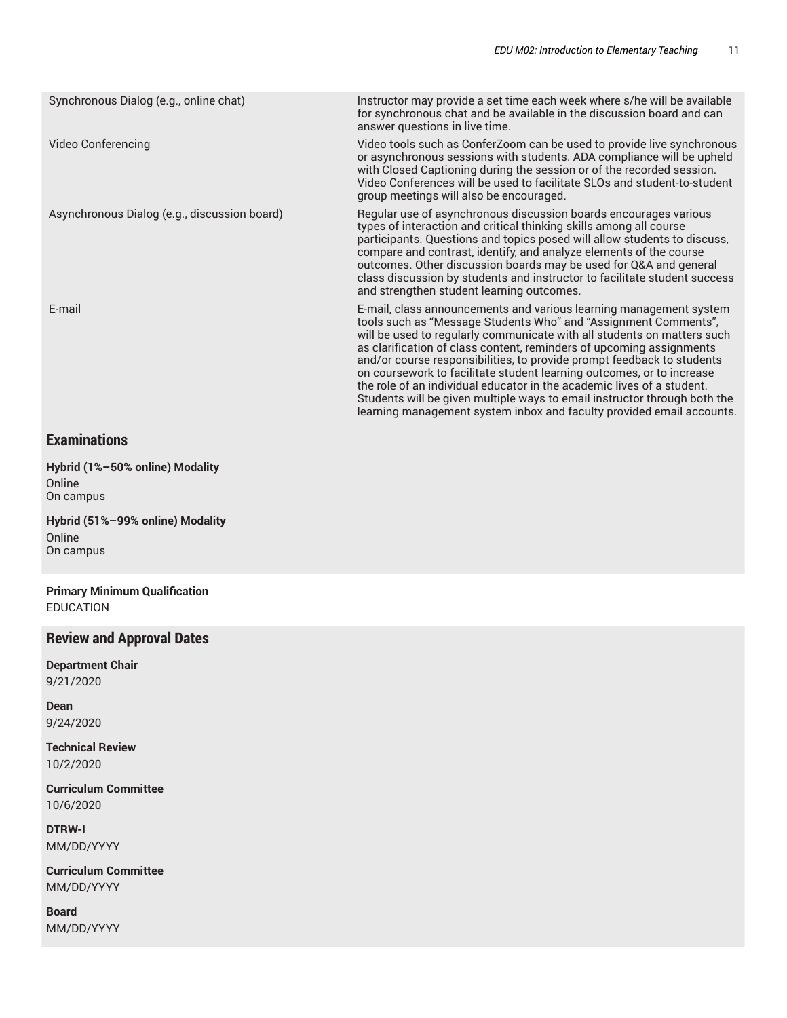| Synchronous Dialog (e.g., online chat)       | Instructor may provide a set time each week where s/he will be available<br>for synchronous chat and be available in the discussion board and can<br>answer questions in live time.                                                                                                                                                                                                                                                                                                                                                                                                                                                                                         |
|----------------------------------------------|-----------------------------------------------------------------------------------------------------------------------------------------------------------------------------------------------------------------------------------------------------------------------------------------------------------------------------------------------------------------------------------------------------------------------------------------------------------------------------------------------------------------------------------------------------------------------------------------------------------------------------------------------------------------------------|
| Video Conferencing                           | Video tools such as ConferZoom can be used to provide live synchronous<br>or asynchronous sessions with students. ADA compliance will be upheld<br>with Closed Captioning during the session or of the recorded session.<br>Video Conferences will be used to facilitate SLOs and student-to-student<br>group meetings will also be encouraged.                                                                                                                                                                                                                                                                                                                             |
| Asynchronous Dialog (e.g., discussion board) | Regular use of asynchronous discussion boards encourages various<br>types of interaction and critical thinking skills among all course<br>participants. Questions and topics posed will allow students to discuss,<br>compare and contrast, identify, and analyze elements of the course<br>outcomes. Other discussion boards may be used for Q&A and general<br>class discussion by students and instructor to facilitate student success<br>and strengthen student learning outcomes.                                                                                                                                                                                     |
| E-mail                                       | E-mail, class announcements and various learning management system<br>tools such as "Message Students Who" and "Assignment Comments",<br>will be used to regularly communicate with all students on matters such<br>as clarification of class content, reminders of upcoming assignments<br>and/or course responsibilities, to provide prompt feedback to students<br>on coursework to facilitate student learning outcomes, or to increase<br>the role of an individual educator in the academic lives of a student.<br>Students will be given multiple ways to email instructor through both the<br>learning management system inbox and faculty provided email accounts. |

# **Examinations**

**Hybrid (1%–50% online) Modality** Online On campus

**Hybrid (51%–99% online) Modality** Online On campus

**Primary Minimum Qualification** EDUCATION

# **Review and Approval Dates**

**Department Chair** 9/21/2020

**Dean** 9/24/2020

**Technical Review** 10/2/2020

**Curriculum Committee** 10/6/2020

**DTRW-I** MM/DD/YYYY

**Curriculum Committee** MM/DD/YYYY

**Board** MM/DD/YYYY